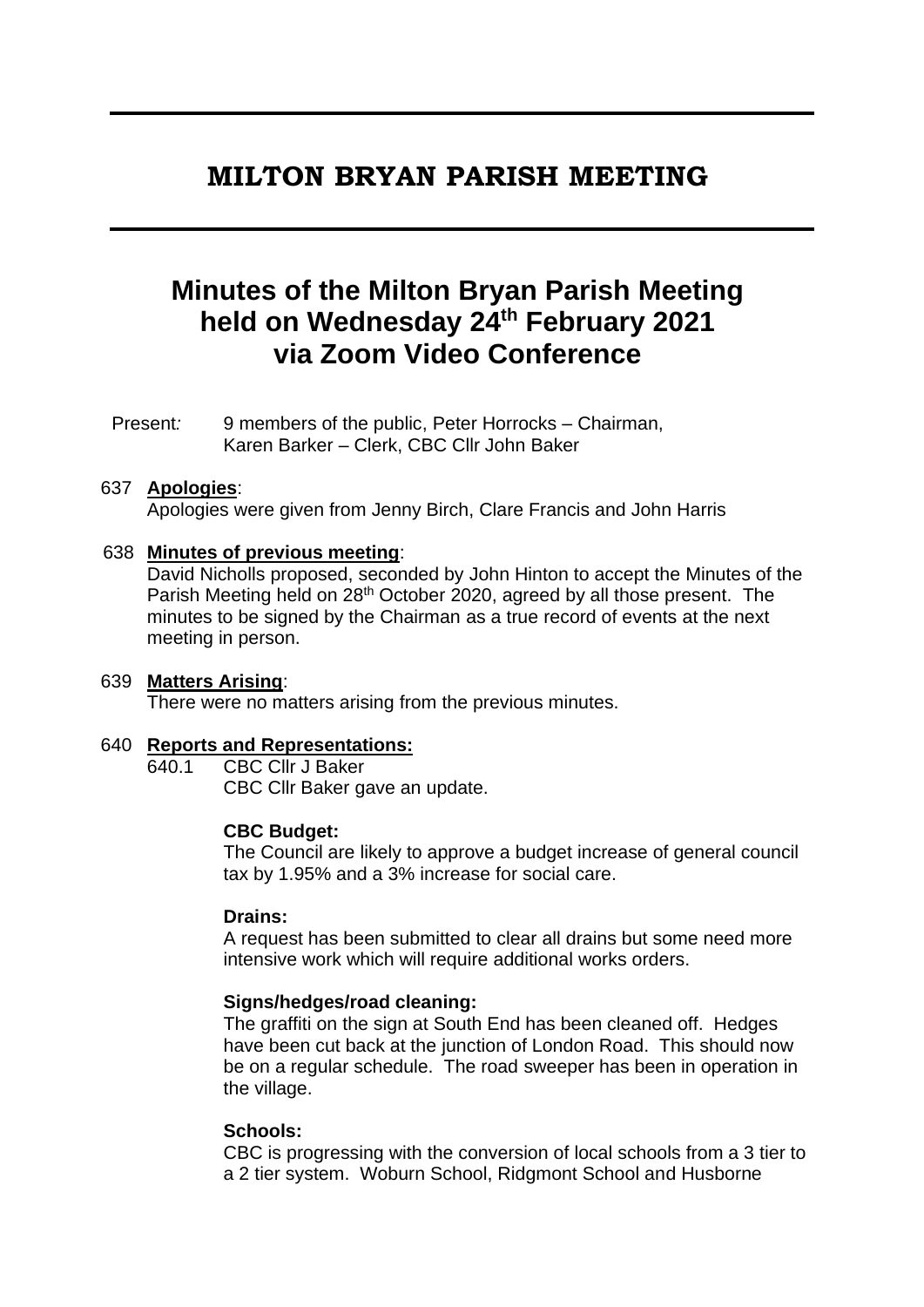# **MILTON BRYAN PARISH MEETING**

# **Minutes of the Milton Bryan Parish Meeting held on Wednesday 24th February 2021 via Zoom Video Conference**

Present*:* 9 members of the public, Peter Horrocks – Chairman, Karen Barker – Clerk, CBC Cllr John Baker

#### 637 **Apologies**:

Apologies were given from Jenny Birch, Clare Francis and John Harris

#### 638 **Minutes of previous meeting**:

David Nicholls proposed, seconded by John Hinton to accept the Minutes of the Parish Meeting held on 28th October 2020, agreed by all those present. The minutes to be signed by the Chairman as a true record of events at the next meeting in person.

#### 639 **Matters Arising**:

There were no matters arising from the previous minutes.

#### 640 **Reports and Representations:**

640.1 CBC Cllr J Baker CBC Cllr Baker gave an update.

#### **CBC Budget:**

The Council are likely to approve a budget increase of general council tax by 1.95% and a 3% increase for social care.

#### **Drains:**

A request has been submitted to clear all drains but some need more intensive work which will require additional works orders.

#### **Signs/hedges/road cleaning:**

The graffiti on the sign at South End has been cleaned off. Hedges have been cut back at the junction of London Road. This should now be on a regular schedule. The road sweeper has been in operation in the village.

#### **Schools:**

CBC is progressing with the conversion of local schools from a 3 tier to a 2 tier system. Woburn School, Ridgmont School and Husborne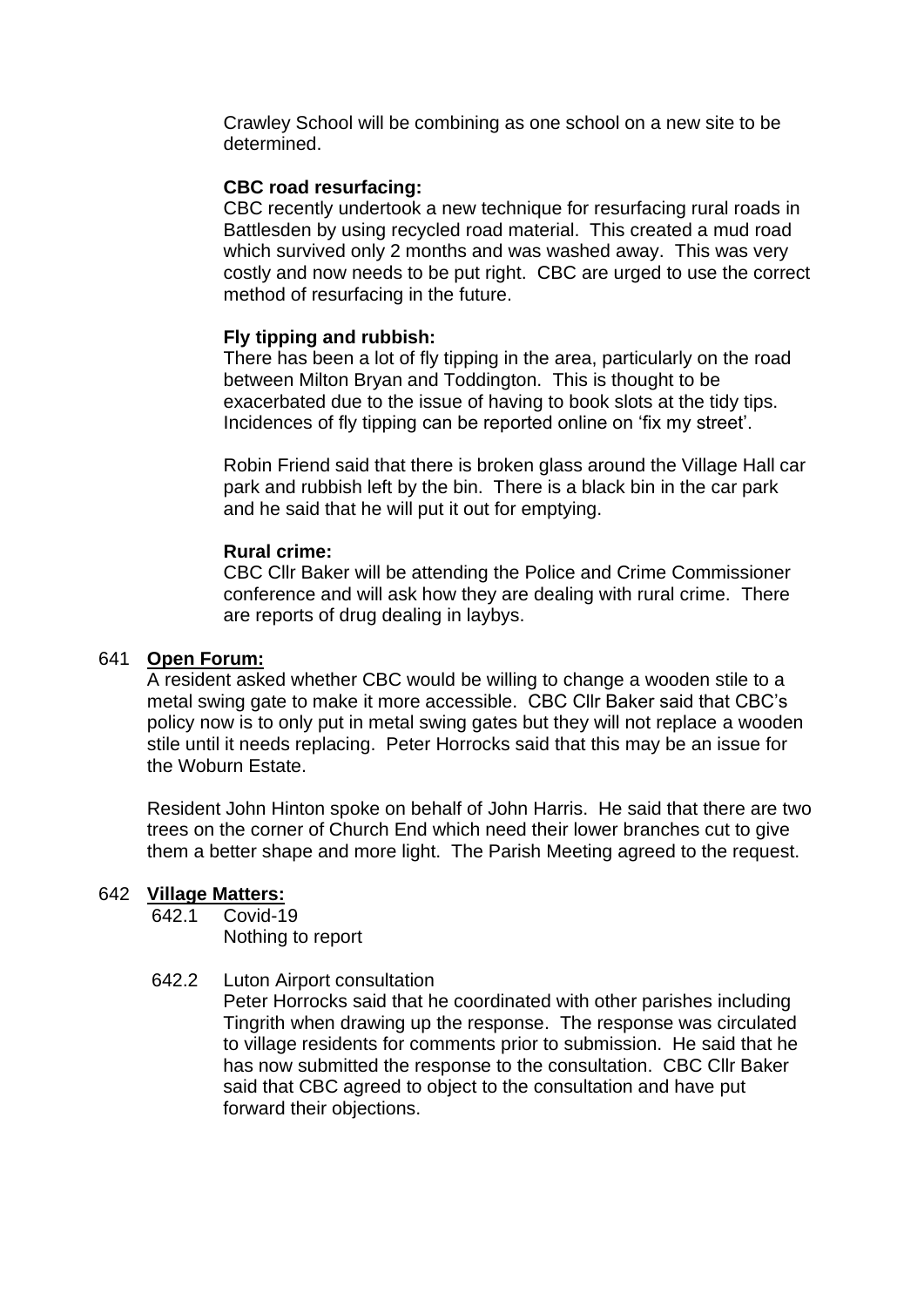Crawley School will be combining as one school on a new site to be determined.

# **CBC road resurfacing:**

CBC recently undertook a new technique for resurfacing rural roads in Battlesden by using recycled road material. This created a mud road which survived only 2 months and was washed away. This was very costly and now needs to be put right. CBC are urged to use the correct method of resurfacing in the future.

# **Fly tipping and rubbish:**

There has been a lot of fly tipping in the area, particularly on the road between Milton Bryan and Toddington. This is thought to be exacerbated due to the issue of having to book slots at the tidy tips. Incidences of fly tipping can be reported online on 'fix my street'.

Robin Friend said that there is broken glass around the Village Hall car park and rubbish left by the bin. There is a black bin in the car park and he said that he will put it out for emptying.

# **Rural crime:**

CBC Cllr Baker will be attending the Police and Crime Commissioner conference and will ask how they are dealing with rural crime. There are reports of drug dealing in laybys.

#### 641 **Open Forum:**

A resident asked whether CBC would be willing to change a wooden stile to a metal swing gate to make it more accessible. CBC Cllr Baker said that CBC's policy now is to only put in metal swing gates but they will not replace a wooden stile until it needs replacing. Peter Horrocks said that this may be an issue for the Woburn Estate.

Resident John Hinton spoke on behalf of John Harris. He said that there are two trees on the corner of Church End which need their lower branches cut to give them a better shape and more light. The Parish Meeting agreed to the request.

# 642 **Village Matters:**

642.1 Covid-19

Nothing to report

# 642.2 Luton Airport consultation

Peter Horrocks said that he coordinated with other parishes including Tingrith when drawing up the response. The response was circulated to village residents for comments prior to submission. He said that he has now submitted the response to the consultation. CBC Cllr Baker said that CBC agreed to object to the consultation and have put forward their objections.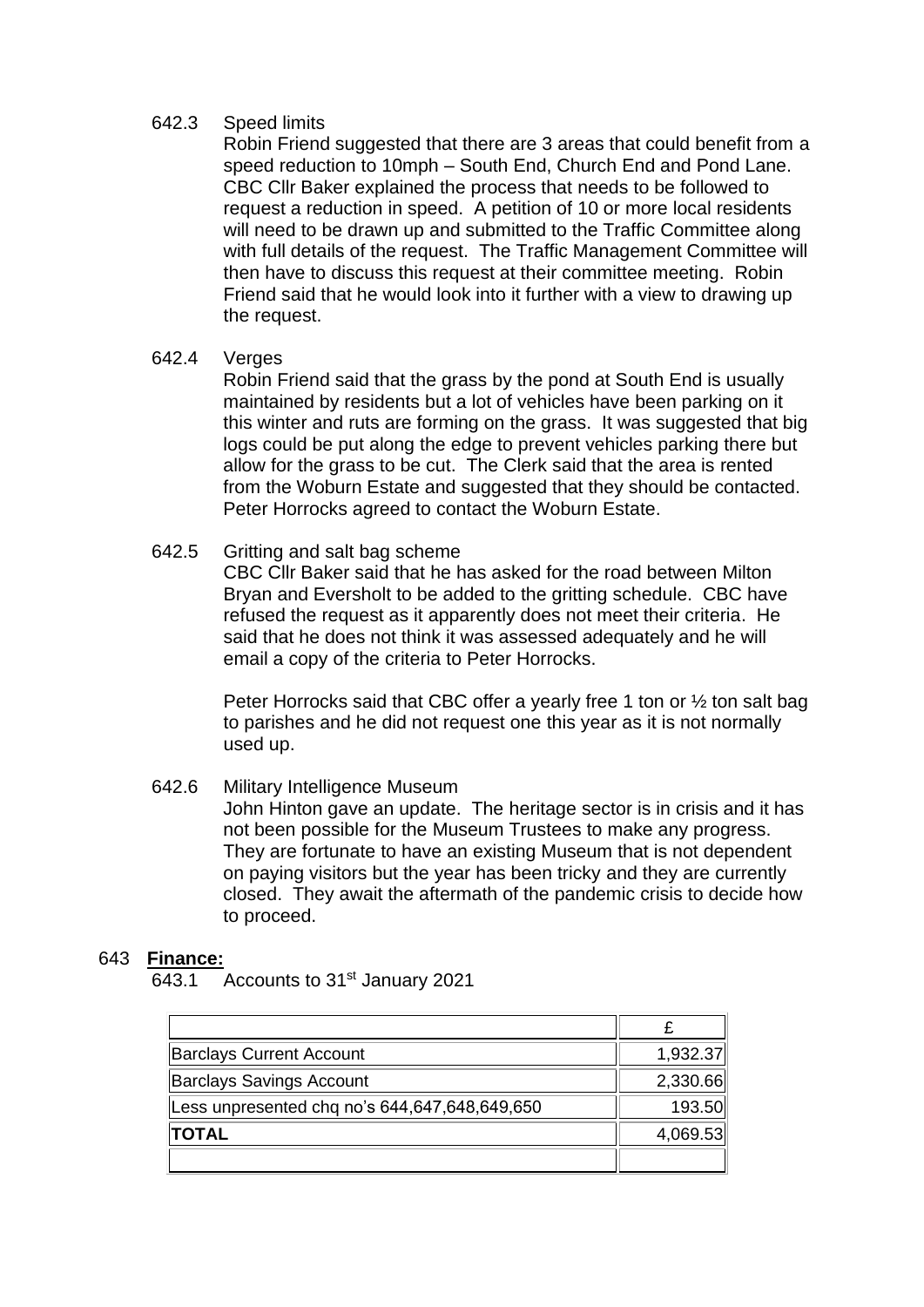# 642.3 Speed limits

Robin Friend suggested that there are 3 areas that could benefit from a speed reduction to 10mph – South End, Church End and Pond Lane. CBC Cllr Baker explained the process that needs to be followed to request a reduction in speed. A petition of 10 or more local residents will need to be drawn up and submitted to the Traffic Committee along with full details of the request. The Traffic Management Committee will then have to discuss this request at their committee meeting. Robin Friend said that he would look into it further with a view to drawing up the request.

# 642.4 Verges

Robin Friend said that the grass by the pond at South End is usually maintained by residents but a lot of vehicles have been parking on it this winter and ruts are forming on the grass. It was suggested that big logs could be put along the edge to prevent vehicles parking there but allow for the grass to be cut. The Clerk said that the area is rented from the Woburn Estate and suggested that they should be contacted. Peter Horrocks agreed to contact the Woburn Estate.

# 642.5 Gritting and salt bag scheme

CBC Cllr Baker said that he has asked for the road between Milton Bryan and Eversholt to be added to the gritting schedule. CBC have refused the request as it apparently does not meet their criteria. He said that he does not think it was assessed adequately and he will email a copy of the criteria to Peter Horrocks.

Peter Horrocks said that CBC offer a yearly free 1 ton or  $\frac{1}{2}$  ton salt bag to parishes and he did not request one this year as it is not normally used up.

# 642.6 Military Intelligence Museum

John Hinton gave an update. The heritage sector is in crisis and it has not been possible for the Museum Trustees to make any progress. They are fortunate to have an existing Museum that is not dependent on paying visitors but the year has been tricky and they are currently closed. They await the aftermath of the pandemic crisis to decide how to proceed.

# 643 **Finance:**

643.1 Accounts to 31<sup>st</sup> January 2021

| <b>Barclays Current Account</b>               | 1,932.37 |
|-----------------------------------------------|----------|
| <b>Barclays Savings Account</b>               | 2,330.66 |
| Less unpresented chq no's 644,647,648,649,650 | 193.50   |
| <b>TOTAL</b>                                  | 4,069.53 |
|                                               |          |